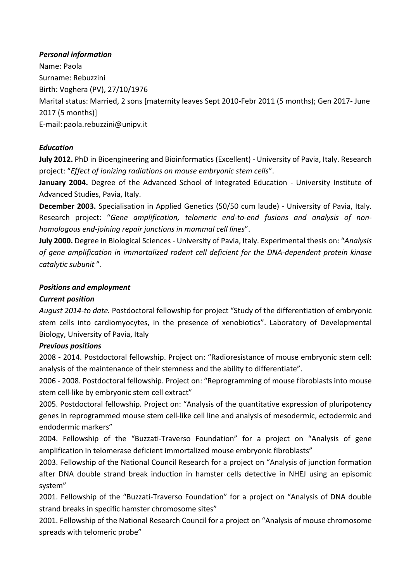## *Personal information*

Name: Paola Surname: Rebuzzini Birth: Voghera (PV), 27/10/1976 Marital status: Married, 2 sons [maternity leaves Sept 2010-Febr 2011 (5 months); Gen 2017- June 2017 (5 months)] E-mail: paola.rebuzzini@unipv.it

# *Education*

**July 2012.** PhD in Bioengineering and Bioinformatics (Excellent) - University of Pavia, Italy. Research project: "Effect of ionizing radiations on mouse embryonic stem cells".

**January 2004.** Degree of the Advanced School of Integrated Education - University Institute of Advanced Studies, Pavia, Italy.

**December 2003.** Specialisation in Applied Genetics (50/50 cum laude) - University of Pavia, Italy. Research project: "Gene amplification, telomeric end-to-end fusions and analysis of non*homologous end-joining repair junctions in mammal cell lines"*.

**July 2000.** Degree in Biological Sciences - University of Pavia, Italy. Experimental thesis on: "Analysis of gene amplification in immortalized rodent cell deficient for the DNA-dependent protein kinase *catalytic subunit* ".

## **Positions and employment**

# *Current position*

August 2014-to date. Postdoctoral fellowship for project "Study of the differentiation of embryonic stem cells into cardiomyocytes, in the presence of xenobiotics". Laboratory of Developmental Biology, University of Pavia, Italy

## *Previous positions*

2008 - 2014. Postdoctoral fellowship. Project on: "Radioresistance of mouse embryonic stem cell: analysis of the maintenance of their stemness and the ability to differentiate".

2006 - 2008. Postdoctoral fellowship. Project on: "Reprogramming of mouse fibroblasts into mouse stem cell-like by embryonic stem cell extract"

2005. Postdoctoral fellowship. Project on: "Analysis of the quantitative expression of pluripotency genes in reprogrammed mouse stem cell-like cell line and analysis of mesodermic, ectodermic and endodermic markers"

2004. Fellowship of the "Buzzati-Traverso Foundation" for a project on "Analysis of gene amplification in telomerase deficient immortalized mouse embryonic fibroblasts"

2003. Fellowship of the National Council Research for a project on "Analysis of junction formation after DNA double strand break induction in hamster cells detective in NHEJ using an episomic system"

2001. Fellowship of the "Buzzati-Traverso Foundation" for a project on "Analysis of DNA double strand breaks in specific hamster chromosome sites"

2001. Fellowship of the National Research Council for a project on "Analysis of mouse chromosome spreads with telomeric probe"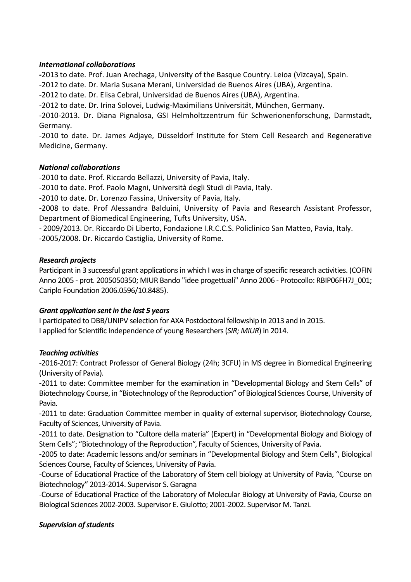#### *International collaborations*

-2013 to date. Prof. Juan Arechaga, University of the Basque Country. Leioa (Vizcaya), Spain. -2012 to date. Dr. Maria Susana Merani, Universidad de Buenos Aires (UBA), Argentina. -2012 to date. Dr. Elisa Cebral, Universidad de Buenos Aires (UBA), Argentina. -2012 to date. Dr. Irina Solovei, Ludwig-Maximilians Universität, München, Germany. -2010-2013. Dr. Diana Pignalosa, GSI Helmholtzzentrum für Schwerionenforschung, Darmstadt, Germany.

-2010 to date. Dr. James Adjaye, Düsseldorf Institute for Stem Cell Research and Regenerative Medicine, Germany.

## *National collaborations*

-2010 to date. Prof. Riccardo Bellazzi, University of Pavia, Italy.

-2010 to date. Prof. Paolo Magni, Università degli Studi di Pavia, Italy.

-2010 to date. Dr. Lorenzo Fassina, University of Pavia, Italy.

-2008 to date. Prof Alessandra Balduini, University of Pavia and Research Assistant Professor, Department of Biomedical Engineering, Tufts University, USA.

- 2009/2013. Dr. Riccardo Di Liberto, Fondazione I.R.C.C.S. Policlinico San Matteo, Pavia, Italy.

-2005/2008. Dr. Riccardo Castiglia, University of Rome.

#### *Research projects*

Participant in 3 successful grant applications in which I was in charge of specific research activities. (COFIN Anno 2005 - prot. 2005050350; MIUR Bando "idee progettuali" Anno 2006 - Protocollo: RBIP06FH7J 001; Cariplo Foundation 2006.0596/10.8485).

## *Grant application sent in the last 5 years*

I participated to DBB/UNIPV selection for AXA Postdoctoral fellowship in 2013 and in 2015. I applied for Scientific Independence of young Researchers (*SIR; MIUR*) in 2014.

## *Teaching activities*

-2016-2017: Contract Professor of General Biology (24h; 3CFU) in MS degree in Biomedical Engineering (University of Pavia).

-2011 to date: Committee member for the examination in "Developmental Biology and Stem Cells" of Biotechnology Course, in "Biotechnology of the Reproduction" of Biological Sciences Course, University of Pavia.

-2011 to date: Graduation Committee member in quality of external supervisor, Biotechnology Course, Faculty of Sciences, University of Pavia.

-2011 to date. Designation to "Cultore della materia" (Expert) in "Developmental Biology and Biology of Stem Cells"; "Biotechnology of the Reproduction", Faculty of Sciences, University of Pavia.

-2005 to date: Academic lessons and/or seminars in "Developmental Biology and Stem Cells", Biological Sciences Course, Faculty of Sciences, University of Pavia.

-Course of Educational Practice of the Laboratory of Stem cell biology at University of Pavia, "Course on Biotechnology" 2013-2014. Supervisor S. Garagna

-Course of Educational Practice of the Laboratory of Molecular Biology at University of Pavia, Course on Biological Sciences 2002-2003. Supervisor E. Giulotto; 2001-2002. Supervisor M. Tanzi.

## *Supervision of students*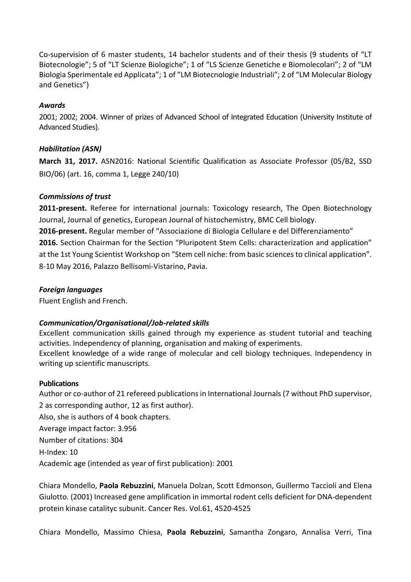Co-supervision of 6 master students, 14 bachelor students and of their thesis (9 students of "LT Biotecnologie"; 5 of "LT Scienze Biologiche"; 1 of "LS Scienze Genetiche e Biomolecolari"; 2 of "LM Biologia Sperimentale ed Applicata"; 1 of "LM Biotecnologie Industriali"; 2 of "LM Molecular Biology and Genetics")

#### *Awards*

2001; 2002; 2004. Winner of prizes of Advanced School of Integrated Education (University Institute of Advanced Studies).

## *Habilitation (ASN)*

**March 31, 2017.** ASN2016: National Scientific Qualification as Associate Professor (05/B2, SSD BIO/06) (art. 16, comma 1, Legge 240/10)

#### *Commissions of trust*

**2011-present.** Referee for international journals: Toxicology research, The Open Biotechnology Journal, Journal of genetics, European Journal of histochemistry, BMC Cell biology. **2016-present.** Regular member of "Associazione di Biologia Cellulare e del Differenziamento" **2016.** Section Chairman for the Section "Pluripotent Stem Cells: characterization and application" at the 1st Young Scientist Workshop on "Stem cell niche: from basic sciences to clinical application". 8-10 May 2016, Palazzo Bellisomi-Vistarino, Pavia.

#### *Foreign languages*

Fluent English and French.

## *Communication/Organisational/Job-related skills*

Excellent communication skills gained through my experience as student tutorial and teaching activities. Independency of planning, organisation and making of experiments. Excellent knowledge of a wide range of molecular and cell biology techniques. Independency in writing up scientific manuscripts.

#### **Publications**

Author or co-author of 21 refereed publications in International Journals (7 without PhD supervisor, 2 as corresponding author, 12 as first author). Also, she is authors of 4 book chapters. Average impact factor: 3.956 Number of citations: 304 H-Index: 10 Academic age (intended as year of first publication): 2001

Chiara Mondello, Paola Rebuzzini, Manuela Dolzan, Scott Edmonson, Guillermo Taccioli and Elena Giulotto. (2001) Increased gene amplification in immortal rodent cells deficient for DNA-dependent protein kinase catalityc subunit. Cancer Res. Vol.61, 4520-4525

Chiara Mondello, Massimo Chiesa, Paola Rebuzzini, Samantha Zongaro, Annalisa Verri, Tina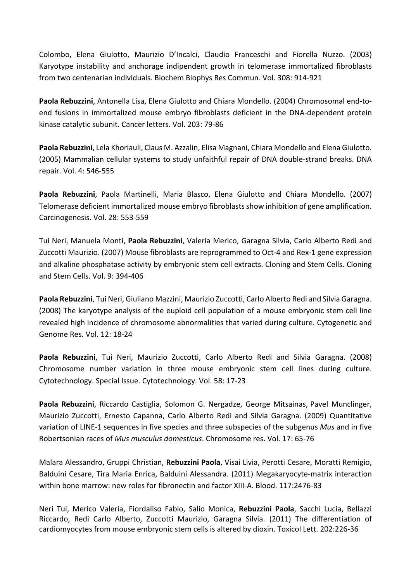Colombo, Elena Giulotto, Maurizio D'Incalci, Claudio Franceschi and Fiorella Nuzzo. (2003) Karyotype instability and anchorage indipendent growth in telomerase immortalized fibroblasts from two centenarian individuals. Biochem Biophys Res Commun. Vol. 308: 914-921

Paola Rebuzzini, Antonella Lisa, Elena Giulotto and Chiara Mondello. (2004) Chromosomal end-toend fusions in immortalized mouse embryo fibroblasts deficient in the DNA-dependent protein kinase catalytic subunit. Cancer letters. Vol. 203: 79-86

Paola Rebuzzini, Lela Khoriauli, Claus M. Azzalin, Elisa Magnani, Chiara Mondello and Elena Giulotto. (2005) Mammalian cellular systems to study unfaithful repair of DNA double-strand breaks. DNA repair. Vol. 4: 546-555 

**Paola Rebuzzini**, Paola Martinelli, Maria Blasco, Elena Giulotto and Chiara Mondello. (2007) Telomerase deficient immortalized mouse embryo fibroblasts show inhibition of gene amplification. Carcinogenesis. Vol. 28: 553-559

Tui Neri, Manuela Monti, Paola Rebuzzini, Valeria Merico, Garagna Silvia, Carlo Alberto Redi and Zuccotti Maurizio. (2007) Mouse fibroblasts are reprogrammed to Oct-4 and Rex-1 gene expression and alkaline phosphatase activity by embryonic stem cell extracts. Cloning and Stem Cells. Cloning and Stem Cells. Vol. 9: 394-406 

**Paola Rebuzzini**, Tui Neri, Giuliano Mazzini, Maurizio Zuccotti, Carlo Alberto Redi and Silvia Garagna. (2008) The karyotype analysis of the euploid cell population of a mouse embryonic stem cell line revealed high incidence of chromosome abnormalities that varied during culture. Cytogenetic and Genome Res. Vol. 12: 18-24

Paola Rebuzzini, Tui Neri, Maurizio Zuccotti, Carlo Alberto Redi and Silvia Garagna. (2008) Chromosome number variation in three mouse embryonic stem cell lines during culture. Cytotechnology. Special Issue. Cytotechnology. Vol. 58: 17-23

Paola Rebuzzini, Riccardo Castiglia, Solomon G. Nergadze, George Mitsainas, Pavel Munclinger, Maurizio Zuccotti, Ernesto Capanna, Carlo Alberto Redi and Silvia Garagna. (2009) Quantitative variation of LINE-1 sequences in five species and three subspecies of the subgenus *Mus* and in five Robertsonian races of *Mus musculus domesticus*. Chromosome res. Vol. 17: 65-76

Malara Alessandro, Gruppi Christian, Rebuzzini Paola, Visai Livia, Perotti Cesare, Moratti Remigio, Balduini Cesare, Tira Maria Enrica, Balduini Alessandra. (2011) Megakaryocyte-matrix interaction within bone marrow: new roles for fibronectin and factor XIII-A. Blood. 117:2476-83

Neri Tui, Merico Valeria, Fiordaliso Fabio, Salio Monica, Rebuzzini Paola, Sacchi Lucia, Bellazzi Riccardo, Redi Carlo Alberto, Zuccotti Maurizio, Garagna Silvia. (2011) The differentiation of cardiomyocytes from mouse embryonic stem cells is altered by dioxin. Toxicol Lett. 202:226-36